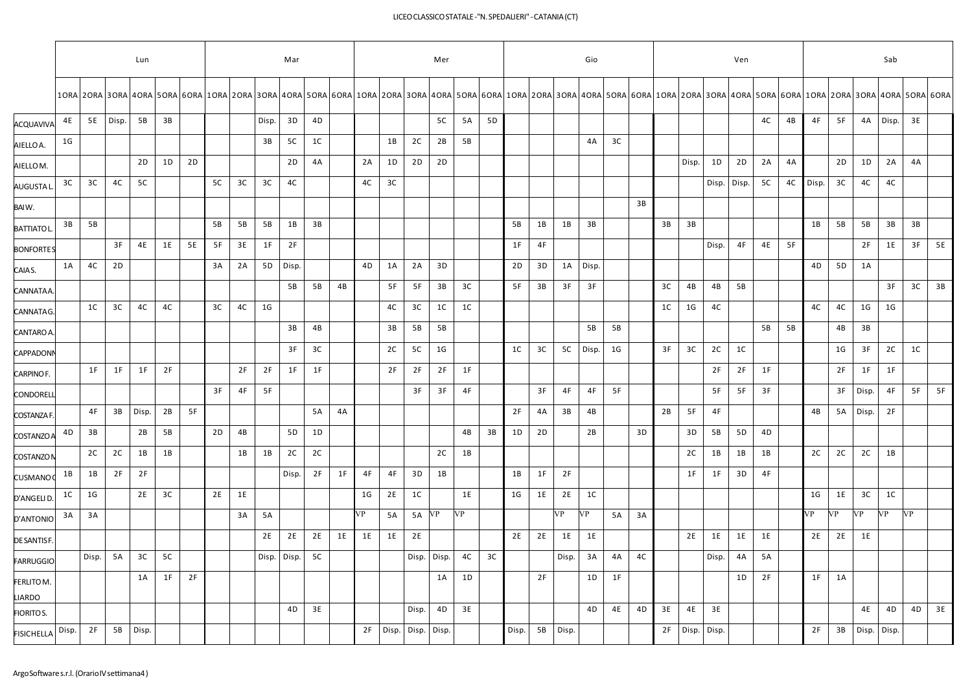## LICEOCLASSICOSTATALE-"N.SPEDALIERI" -CATANIA(CT)

|                      | Lun            |                |       |           |    |           |    |    |                |                |                |    | Mer       |                |                | Gio            |                |    |                |    |       |                | Ven            |    |    |          |       |                |    | Sab |            |                |             |       |                                                                                                                                                                                                                                |    |
|----------------------|----------------|----------------|-------|-----------|----|-----------|----|----|----------------|----------------|----------------|----|-----------|----------------|----------------|----------------|----------------|----|----------------|----|-------|----------------|----------------|----|----|----------|-------|----------------|----|-----|------------|----------------|-------------|-------|--------------------------------------------------------------------------------------------------------------------------------------------------------------------------------------------------------------------------------|----|
|                      |                |                |       |           |    |           |    |    |                |                |                |    |           |                |                |                |                |    |                |    |       |                |                |    |    |          |       |                |    |     |            |                |             |       | 10RA 20RA 30RA 40RA 50RA 60RA 10RA 20RA 30RA 40RA 50RA 60RA 10RA 20RA 30RA 40RA 50RA 60RA 10RA 20RA 30RA 40RA 50RA 60RA 10RA 20RA 30RA 40RA 50RA 60RA 10RA 20RA 30RA 40RA 20RA 30RA 40RA 50RA 40RA 20RA 30RA 40RA 50RA 40RA 50 |    |
| <b>ACQUAVIVA</b>     | 4E             | 5E             | Disp. | 5B        | 3B |           |    |    | Disp.          | 3D             | 4D             |    |           |                |                | 5C             | 5A             | 5D |                |    |       |                |                |    |    |          |       |                | 4C | 4B  | 4F         | 5F             | 4A          | Disp. | 3E                                                                                                                                                                                                                             |    |
| AIELLO A.            | 1G             |                |       |           |    |           |    |    | 3B             | 5C             | 1 <sup>C</sup> |    |           | 1B             | 2C             | 2B             | 5B             |    |                |    |       | 4A             | 3C             |    |    |          |       |                |    |     |            |                |             |       |                                                                                                                                                                                                                                |    |
| AIELLOM.             |                |                |       | 2D        | 1D | 2D        |    |    |                | 2D             | 4A             |    | 2A        | 1D             | 2D             | 2D             |                |    |                |    |       |                |                |    |    | Disp.    | 1D    | 2D             | 2A | 4A  |            | 2D             | 1D          | 2A    | 4A                                                                                                                                                                                                                             |    |
| <b>AUGUSTAI</b>      | 3C             | 3C             | 4C    | <b>5C</b> |    |           | 5C | 3C | 3C             | 4C             |                |    | 4C        | 3C             |                |                |                |    |                |    |       |                |                |    |    |          | Disp. | Disp.          | 5C |     | 4C   Disp. | 3C             | 4C          | 4C    |                                                                                                                                                                                                                                |    |
| BAIW.                |                |                |       |           |    |           |    |    |                |                |                |    |           |                |                |                |                |    |                |    |       |                |                | 3B |    |          |       |                |    |     |            |                |             |       |                                                                                                                                                                                                                                |    |
| <b>BATTIATOL</b>     | 3B             | 5B             |       |           |    |           | 5B | 5B | 5B             | 1B             | 3B             |    |           |                |                |                |                |    | 5B             | 1B | 1B    | 3B             |                |    | 3B | 3B       |       |                |    |     | 1B         | 5B             | 5B          | 3B    | 3B                                                                                                                                                                                                                             |    |
| <b>BONFORTES</b>     |                |                | 3F    | <b>4E</b> | 1E | <b>5E</b> | 5F | 3E | 1F             | 2F             |                |    |           |                |                |                |                |    | 1F             | 4F |       |                |                |    |    |          | Disp. | 4F             | 4E | 5F  |            |                | 2F          | 1E    | 3F                                                                                                                                                                                                                             | 5E |
| CAIA S.              | 1A             | 4C             | 2D    |           |    |           | 3A | 2A | 5 <sub>D</sub> | Disp.          |                |    | 4D        | 1A             | 2A             | 3D             |                |    | 2D             | 3D |       | 1A Disp.       |                |    |    |          |       |                |    |     | 4D         | 5 <sub>D</sub> | 1A          |       |                                                                                                                                                                                                                                |    |
| CANNATAA             |                |                |       |           |    |           |    |    |                | 5B             | 5B             | 4B |           | 5F             | 5F             | 3B             | 3C             |    | 5F             | 3B | 3F    | 3F             |                |    | 3C | 4B       | 4B    | 5B             |    |     |            |                |             | 3F    | 3C                                                                                                                                                                                                                             | 3B |
| CANNATAG.            |                | 1 <sup>C</sup> | 3C    | 4C        | 4C |           | 3C | 4C | 1 <sub>G</sub> |                |                |    |           | 4C             | 3C             | 1C             | 1 <sup>C</sup> |    |                |    |       |                |                |    | 1C | 1G       | 4C    |                |    |     | 4C         | 4C             | 1G          | 1G    |                                                                                                                                                                                                                                |    |
| CANTARO A.           |                |                |       |           |    |           |    |    |                | 3B             | 4B             |    |           | 3B             | 5B             | 5B             |                |    |                |    |       | 5B             | 5B             |    |    |          |       |                | 5B | 5B  |            | 4B             | 3B          |       |                                                                                                                                                                                                                                |    |
| <b>CAPPADON</b>      |                |                |       |           |    |           |    |    |                | 3F             | 3C             |    |           | 2C             | 5C             | 1 <sub>G</sub> |                |    | 1 <sup>C</sup> | 3C | 5C    | Disp.          | 1 <sub>G</sub> |    | 3F | 3C       | 2C    | 1 <sup>C</sup> |    |     |            | 1G             | 3F          | 2C    | 1 <sup>C</sup>                                                                                                                                                                                                                 |    |
| CARPINOF.            |                | 1F             | 1F    | 1F        | 2F |           |    | 2F | 2F             | 1F             | 1F             |    |           | 2F             | 2F             | 2F             | 1F             |    |                |    |       |                |                |    |    |          | 2F    | 2F             | 1F |     |            | 2F             | 1F          | 1F    |                                                                                                                                                                                                                                |    |
| CONDOREL             |                |                |       |           |    |           | 3F | 4F | 5F             |                |                |    |           |                | 3F             | 3F             | 4F             |    |                | 3F | 4F    | 4F             | 5F             |    |    |          | 5F    | 5F             | 3F |     |            | 3F             | Disp.       | 4F    | 5F                                                                                                                                                                                                                             | 5F |
| <b>COSTANZA F</b>    |                | 4F             | 3B    | Disp.     | 2B | 5F        |    |    |                |                | 5A             | 4A |           |                |                |                |                |    | 2F             | 4A | 3B    | 4B             |                |    | 2B | 5F       | 4F    |                |    |     | 4B         | 5A             | Disp.       | 2F    |                                                                                                                                                                                                                                |    |
| COSTANZO/            | 4D             | 3B             |       | 2B        | 5B |           | 2D | 4B |                | 5 <sub>D</sub> | 1D             |    |           |                |                |                | 4B             | 3B | 1D             | 2D |       | 2B             |                | 3D |    | 3D       | 5B    | 5D             | 4D |     |            |                |             |       |                                                                                                                                                                                                                                |    |
| <b>COSTANZON</b>     |                | 2C             | 2C    | 1B        | 1B |           |    | 1B | 1B             | 2C             | 2C             |    |           |                |                | 2C             | 1B             |    |                |    |       |                |                |    |    | 2C       | 1B    | 1B             | 1B |     | 2C         | 2C             | 2C          | 1B    |                                                                                                                                                                                                                                |    |
| <b>CUSMANO</b>       | 1B             | 1B             | 2F    | 2F        |    |           |    |    |                | Disp.          | 2F             | 1F | 4F        | 4F             | 3D             | 1B             |                |    | 1B             | 1F | 2F    |                |                |    |    | 1F       | 1F    | 3D             | 4F |     |            |                |             |       |                                                                                                                                                                                                                                |    |
| D'ANGELI D           | 1 <sup>C</sup> | 1 <sub>G</sub> |       | 2E        | 3C |           | 2E | 1E |                |                |                |    | 1G        | 2E             | 1 <sup>C</sup> |                | 1E             |    | 1G             | 1E | 2E    | 1 <sup>C</sup> |                |    |    |          |       |                |    |     | 1G         | 1E             | 3C          | 1C    |                                                                                                                                                                                                                                |    |
| D'ANTONIO            | 3A             | 3A             |       |           |    |           |    | 3A | 5A             |                |                |    | <b>VP</b> | 5A             | 5A             | <b>VP</b>      | VP             |    |                |    | VP    | <b>VP</b>      | 5A             | 3A |    |          |       |                |    |     | VP         | <b>VP</b>      | VP          | VP    | <b>VP</b>                                                                                                                                                                                                                      |    |
| DE SANTISF           |                |                |       |           |    |           |    |    | 2E             | 2E             | 2E             | 1E | 1E        | 1E             | 2E             |                |                |    | 2E             | 2E | 1E    | 1E             |                |    |    | 2E       | 1E    | 1E             | 1E |     | 2E         | 2E             | 1E          |       |                                                                                                                                                                                                                                |    |
| <b>FARRUGGIO</b>     |                | Disp.          | 5A    | 3C        | 5C |           |    |    | Disp.          | Disp.          | 5C             |    |           |                |                | Disp. Disp.    | 4C             | 3C |                |    | Disp. | 3A             | 4A             | 4C |    |          | Disp. | 4A             | 5A |     |            |                |             |       |                                                                                                                                                                                                                                |    |
| FERLITO M.<br>LIARDO |                |                |       | 1A        | 1F | 2F        |    |    |                |                |                |    |           |                |                | 1A             | 1D             |    |                | 2F |       | 1D             | 1F             |    |    |          |       | 1D             | 2F |     | 1F         | 1A             |             |       |                                                                                                                                                                                                                                |    |
| <b>FIORITOS.</b>     |                |                |       |           |    |           |    |    |                | 4D             | 3E             |    |           |                | Disp.          | 4D             | 3E             |    |                |    |       | 4D             | 4E             | 4D | 3E | 4E       | 3E    |                |    |     |            |                | 4E          | 4D    | 4D                                                                                                                                                                                                                             | 3E |
| <b>FISICHELLA</b>    | Disp.          | 2F             | 5B    | Disp.     |    |           |    |    |                |                |                |    |           | 2F Disp. Disp. |                | Disp.          |                |    | Disp.          | 5B | Disp. |                |                |    |    | 2F Disp. | Disp. |                |    |     | 2F         | 3B             | Disp. Disp. |       |                                                                                                                                                                                                                                |    |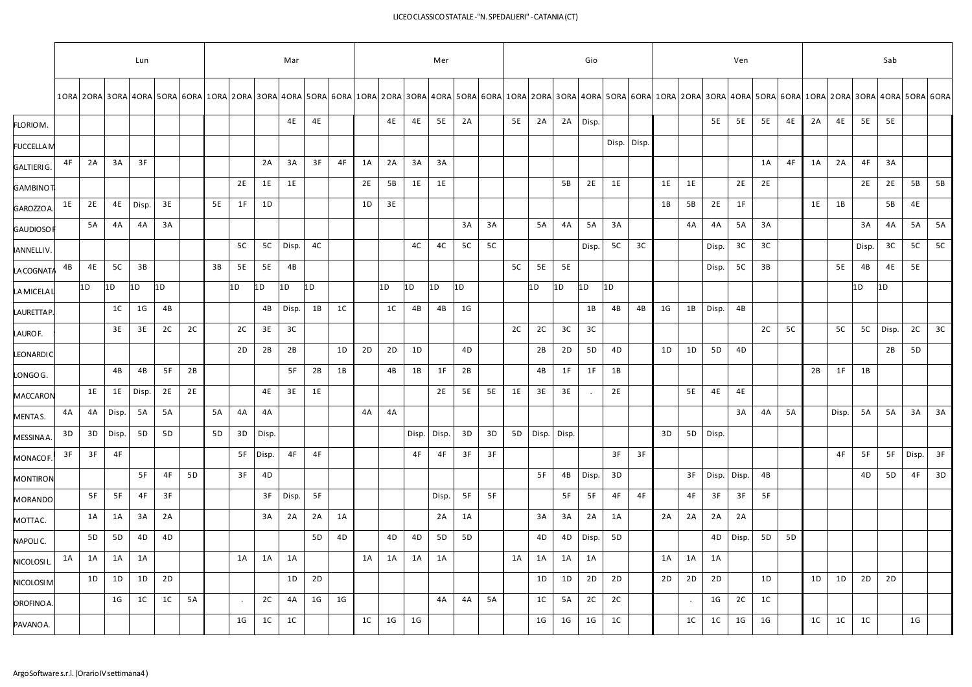## LICEOCLASSICOSTATALE-"N.SPEDALIERI" -CATANIA(CT)

| Lun |                  |                |                |                |                |                |    |                |             |                |                |                |    |                | Mar            |    |    |                |                |             | Mer            |                |    | Gio         |                |                |       |                |                |                | Ven            |                |                |                |                                                                                                                                                                                                                                |  |  | Sab |  |  |  |  |  |  |
|-----|------------------|----------------|----------------|----------------|----------------|----------------|----|----------------|-------------|----------------|----------------|----------------|----|----------------|----------------|----|----|----------------|----------------|-------------|----------------|----------------|----|-------------|----------------|----------------|-------|----------------|----------------|----------------|----------------|----------------|----------------|----------------|--------------------------------------------------------------------------------------------------------------------------------------------------------------------------------------------------------------------------------|--|--|-----|--|--|--|--|--|--|
|     |                  |                |                |                |                |                |    |                |             |                |                |                |    |                |                |    |    |                |                |             |                |                |    |             |                |                |       |                |                |                |                |                |                |                |                                                                                                                                                                                                                                |  |  |     |  |  |  |  |  |  |
|     |                  |                |                |                |                |                |    |                | 4E          | 4E             |                |                | 4E | 4E             | 5E             | 2A |    | 5E             | 2A             | 2A          |                |                |    |             |                | 5E             | 5E    | 5E             | 4E             | 2A             | 4E             | 5E             | <b>5E</b>      |                |                                                                                                                                                                                                                                |  |  |     |  |  |  |  |  |  |
|     |                  |                |                |                |                |                |    |                |             |                |                |                |    |                |                |    |    |                |                |             |                |                |    |             |                |                |       |                |                |                |                |                |                |                |                                                                                                                                                                                                                                |  |  |     |  |  |  |  |  |  |
| 4F  | 2A               | 3A             | 3F             |                |                |                |    | 2A             | 3A          | 3F             | 4F             | 1A             | 2A | 3A             | 3A             |    |    |                |                |             |                |                |    |             |                |                |       | 1A             | 4F             | 1A             | 2A             | 4F             | 3A             |                |                                                                                                                                                                                                                                |  |  |     |  |  |  |  |  |  |
|     |                  |                |                |                |                |                | 2E | 1E             | 1E          |                |                | 2E             | 5B | 1E             | 1E             |    |    |                |                | 5B          | 2E             | 1E             |    | 1E          | 1E             |                | 2E    | 2E             |                |                |                | 2E             | 2E             | 5B             | 5B                                                                                                                                                                                                                             |  |  |     |  |  |  |  |  |  |
| 1E  | 2E               | 4E             | Disp.          | 3E             |                | <b>5E</b>      | 1F | 1D             |             |                |                | 1D             | 3E |                |                |    |    |                |                |             |                |                |    | 1B          | 5B             | 2E             | 1F    |                |                | 1E             | 1B             |                | 5B             | 4E             |                                                                                                                                                                                                                                |  |  |     |  |  |  |  |  |  |
|     | 5A               | 4A             | 4A             | 3A             |                |                |    |                |             |                |                |                |    |                |                | 3A | 3A |                | 5A             | 4A          | 5A             | 3A             |    |             | 4A             | 4A             | 5A    | 3A             |                |                |                | 3A             | 4A             | <b>5A</b>      | 5A                                                                                                                                                                                                                             |  |  |     |  |  |  |  |  |  |
|     |                  |                |                |                |                |                | 5C | 5C             | Disp.       | 4C             |                |                |    | 4C             | 4C             | 5C | 5C |                |                |             | Disp.          | 5C             | 3C |             |                | Disp.          | 3C    | 3C             |                |                |                | Disp.          | 3C             | 5C             | 5C                                                                                                                                                                                                                             |  |  |     |  |  |  |  |  |  |
| 4B  | 4E               | 5C             | 3B             |                |                | 3B             | 5E | 5E             | 4B          |                |                |                |    |                |                |    |    | 5C             | 5E             | 5E          |                |                |    |             |                | Disp.          | 5C    | 3B             |                |                | <b>5E</b>      | 4B             | 4E             | 5E             |                                                                                                                                                                                                                                |  |  |     |  |  |  |  |  |  |
|     |                  |                |                |                |                |                |    |                |             |                |                |                |    |                |                |    |    |                |                |             |                |                |    |             |                |                |       |                |                |                |                |                |                |                |                                                                                                                                                                                                                                |  |  |     |  |  |  |  |  |  |
|     |                  | 1C             | 1G             | 4B             |                |                |    | 4B             | Disp.       | 1B             | 1C             |                | 1C | 4B             | 4B             | 1G |    |                |                |             | 1B             | 4B             | 4B | 1G          | 1B             | Disp.          | 4B    |                |                |                |                |                |                |                |                                                                                                                                                                                                                                |  |  |     |  |  |  |  |  |  |
|     |                  | 3E             | 3E             | 2C             | 2C             |                | 2C | 3E             | 3C          |                |                |                |    |                |                |    |    | 2C             | 2C             | 3C          | 3C             |                |    |             |                |                |       | 2C             | 5C             |                | 5C             | 5C             | Disp.          | 2C             | 3C                                                                                                                                                                                                                             |  |  |     |  |  |  |  |  |  |
|     |                  |                |                |                |                |                | 2D | 2B             | 2B          |                | 1D             | 2D             | 2D | 1D             |                | 4D |    |                | 2B             | 2D          | 5 <sub>D</sub> | 4D             |    | 1D          | 1D             | 5 <sub>D</sub> | 4D    |                |                |                |                |                | 2B             | 5 <sub>D</sub> |                                                                                                                                                                                                                                |  |  |     |  |  |  |  |  |  |
|     |                  | 4B             | 4B             | 5F             | 2B             |                |    |                | 5F          | 2B             | 1B             |                | 4B | 1B             | 1F             | 2B |    |                | 4B             | 1F          | 1F             | 1B             |    |             |                |                |       |                |                | 2B             | 1F             | 1B             |                |                |                                                                                                                                                                                                                                |  |  |     |  |  |  |  |  |  |
|     | 1E               | 1E             | Disp.          | 2E             | 2E             |                |    | 4E             | 3E          | 1E             |                |                |    |                | 2E             | 5E | 5E | 1E             | 3E             | 3E          |                | 2E             |    |             | 5E             | 4E             | 4E    |                |                |                |                |                |                |                |                                                                                                                                                                                                                                |  |  |     |  |  |  |  |  |  |
| 4A  | 4A               | Disp.          | 5A             | 5A             |                | 5A             | 4A | 4A             |             |                |                | 4A             | 4A |                |                |    |    |                |                |             |                |                |    |             |                |                | 3A    | 4A             | 5A             |                | Disp.          | 5A             | 5A             | 3A             | 3A                                                                                                                                                                                                                             |  |  |     |  |  |  |  |  |  |
| 3D  | 3D               | Disp.          | 5D             | 5D             |                | 5 <sub>D</sub> | 3D | Disp.          |             |                |                |                |    | Disp.          | Disp.          | 3D | 3D | 5 <sub>D</sub> |                |             |                |                |    | 3D          | 5D             |                |       |                |                |                |                |                |                |                |                                                                                                                                                                                                                                |  |  |     |  |  |  |  |  |  |
| 3F  | 3F               | 4F             |                |                |                |                | 5F |                | 4F          | 4F             |                |                |    | 4F             | 4F             | 3F | 3F |                |                |             |                | 3F             | 3F |             |                |                |       |                |                |                | 4F             | 5F             | 5F             | Disp.          | 3F                                                                                                                                                                                                                             |  |  |     |  |  |  |  |  |  |
|     |                  |                | 5F             | 4F             | 5 <sub>D</sub> |                | 3F | 4D             |             |                |                |                |    |                |                |    |    |                | 5F             | 4B          | Disp.          | 3D             |    |             | 3F             | Disp.          | Disp. | 4B             |                |                |                | 4D             | 5 <sub>D</sub> | 4F             | 3D                                                                                                                                                                                                                             |  |  |     |  |  |  |  |  |  |
|     | 5F               | 5F             | 4F             | 3F             |                |                |    | 3F             | Disp.       | 5F             |                |                |    |                | Disp.          | 5F | 5F |                |                | 5F          | 5F             | 4F             | 4F |             | 4F             | 3F             | 3F    | 5F             |                |                |                |                |                |                |                                                                                                                                                                                                                                |  |  |     |  |  |  |  |  |  |
|     | 1A               | 1A             | 3A             | 2A             |                |                |    | 3A             | 2A          | 2A             | 1A             |                |    |                | 2A             | 1A |    |                | 3A             | 3A          | 2A             | 1A             |    | 2A          | 2A             | 2A             | 2A    |                |                |                |                |                |                |                |                                                                                                                                                                                                                                |  |  |     |  |  |  |  |  |  |
|     | 5 <sub>D</sub>   | 5 <sub>D</sub> | 4D             | 4D             |                |                |    |                |             | 5 <sub>D</sub> | 4D             |                | 4D | 4D             | 5 <sub>D</sub> | 5D |    |                | 4D             | 4D          | Disp.          | 5 <sub>D</sub> |    |             |                | 4D             | Disp. | 5 <sub>D</sub> | 5 <sub>D</sub> |                |                |                |                |                |                                                                                                                                                                                                                                |  |  |     |  |  |  |  |  |  |
| 1A  | 1A               | 1A             | 1A             |                |                |                | 1A | 1A             | 1A          |                |                | 1A             | 1A | 1A             | 1A             |    |    | 1A             | 1A             | 1A          | 1A             |                |    | 1A          | 1A             | 1A             |       |                |                |                |                |                |                |                |                                                                                                                                                                                                                                |  |  |     |  |  |  |  |  |  |
|     | 1D               | 1D             | 1D             | 2D             |                |                |    |                | 1D          | 2D             |                |                |    |                |                |    |    |                | 1D             | 1D          | 2D             | 2D             |    | 2D          | 2D             | 2D             |       | 1D             |                | 1D             | 1D             | 2D             | 2D             |                |                                                                                                                                                                                                                                |  |  |     |  |  |  |  |  |  |
|     |                  | 1 <sub>G</sub> | 1 <sup>C</sup> | 1 <sup>C</sup> | 5A             |                |    | 2C             | 4A          | 1G             | 1 <sub>G</sub> |                |    |                | 4A             | 4A | 5A |                | 1 <sup>C</sup> | 5A          | 2C             | 2C             |    |             |                | 1G             | 2C    | 1C             |                |                |                |                |                |                |                                                                                                                                                                                                                                |  |  |     |  |  |  |  |  |  |
|     |                  |                |                |                |                |                | 1G | 1 <sup>C</sup> | 1C          |                |                | 1 <sup>C</sup> | 1G | 1 <sub>G</sub> |                |    |    |                | 1G             | 1G          | 1G             | 1C             |    |             | 1 <sup>C</sup> | 1C             | 1G    | 1G             |                | 1 <sup>C</sup> | 1 <sup>C</sup> | 1 <sup>C</sup> |                | 1 <sub>G</sub> |                                                                                                                                                                                                                                |  |  |     |  |  |  |  |  |  |
|     | <b>GAUDIOSOF</b> | 1D             | 1D             | 1D             | 1D             |                |    | 1D             | 1D<br>Disp. | 1D             | 1D             |                |    | 1D             | 1D             | 1D | 1D |                |                | 1D<br>Disp. | 1D<br>Disp.    | Disp.<br>1D    | 1D | Disp. Disp. |                |                | Disp. |                |                |                |                |                | 1D             | 1D             | 10RA 20RA 30RA 40RA 50RA 60RA 10RA 20RA 30RA 40RA 50RA 60RA 10RA 20RA 30RA 40RA 50RA 60RA 10RA 20RA 30RA 40RA 50RA 60RA 10RA 20RA 60RA 10RA 20RA 30RA 40RA 50RA 60RA 10RA 20RA 30RA 40RA 50RA 40RA 50RA 40RA 50RA 40RA 50RA 40 |  |  |     |  |  |  |  |  |  |